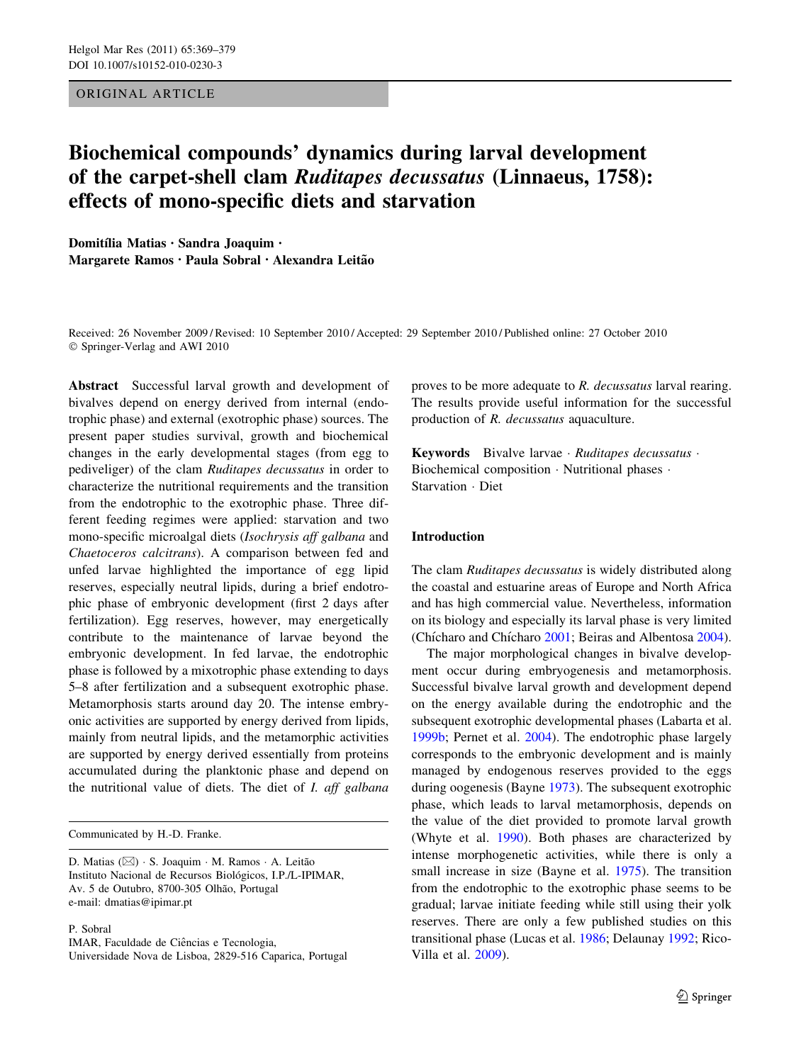### ORIGINAL ARTICLE

# Biochemical compounds' dynamics during larval development of the carpet-shell clam Ruditapes decussatus (Linnaeus, 1758): effects of mono-specific diets and starvation

Domitília Matias · Sandra Joaquim · Margarete Ramos · Paula Sobral · Alexandra Leitão

Received: 26 November 2009 / Revised: 10 September 2010 / Accepted: 29 September 2010 / Published online: 27 October 2010 © Springer-Verlag and AWI 2010

Abstract Successful larval growth and development of bivalves depend on energy derived from internal (endotrophic phase) and external (exotrophic phase) sources. The present paper studies survival, growth and biochemical changes in the early developmental stages (from egg to pediveliger) of the clam Ruditapes decussatus in order to characterize the nutritional requirements and the transition from the endotrophic to the exotrophic phase. Three different feeding regimes were applied: starvation and two mono-specific microalgal diets (Isochrysis aff galbana and Chaetoceros calcitrans). A comparison between fed and unfed larvae highlighted the importance of egg lipid reserves, especially neutral lipids, during a brief endotrophic phase of embryonic development (first 2 days after fertilization). Egg reserves, however, may energetically contribute to the maintenance of larvae beyond the embryonic development. In fed larvae, the endotrophic phase is followed by a mixotrophic phase extending to days 5–8 after fertilization and a subsequent exotrophic phase. Metamorphosis starts around day 20. The intense embryonic activities are supported by energy derived from lipids, mainly from neutral lipids, and the metamorphic activities are supported by energy derived essentially from proteins accumulated during the planktonic phase and depend on the nutritional value of diets. The diet of  $I$ . aff galbana

Communicated by H.-D. Franke.

P. Sobral

IMAR, Faculdade de Ciências e Tecnologia,

Universidade Nova de Lisboa, 2829-516 Caparica, Portugal

proves to be more adequate to R. decussatus larval rearing. The results provide useful information for the successful production of R. decussatus aquaculture.

Keywords Bivalve larvae · Ruditapes decussatus · Biochemical composition - Nutritional phases - Starvation - Diet

## Introduction

The clam Ruditapes decussatus is widely distributed along the coastal and estuarine areas of Europe and North Africa and has high commercial value. Nevertheless, information on its biology and especially its larval phase is very limited (Chícharo and Chícharo [2001;](#page-9-0) Beiras and Albentosa [2004](#page-9-0)).

The major morphological changes in bivalve development occur during embryogenesis and metamorphosis. Successful bivalve larval growth and development depend on the energy available during the endotrophic and the subsequent exotrophic developmental phases (Labarta et al. [1999b](#page-10-0); Pernet et al. [2004](#page-10-0)). The endotrophic phase largely corresponds to the embryonic development and is mainly managed by endogenous reserves provided to the eggs during oogenesis (Bayne [1973](#page-9-0)). The subsequent exotrophic phase, which leads to larval metamorphosis, depends on the value of the diet provided to promote larval growth (Whyte et al. [1990](#page-10-0)). Both phases are characterized by intense morphogenetic activities, while there is only a small increase in size (Bayne et al. [1975](#page-9-0)). The transition from the endotrophic to the exotrophic phase seems to be gradual; larvae initiate feeding while still using their yolk reserves. There are only a few published studies on this transitional phase (Lucas et al. [1986;](#page-10-0) Delaunay [1992;](#page-9-0) Rico-Villa et al. [2009](#page-10-0)).

D. Matias (⊠) · S. Joaquim · M. Ramos · A. Leitão Instituto Nacional de Recursos Biológicos, I.P./L-IPIMAR, Av. 5 de Outubro, 8700-305 Olhão, Portugal e-mail: dmatias@ipimar.pt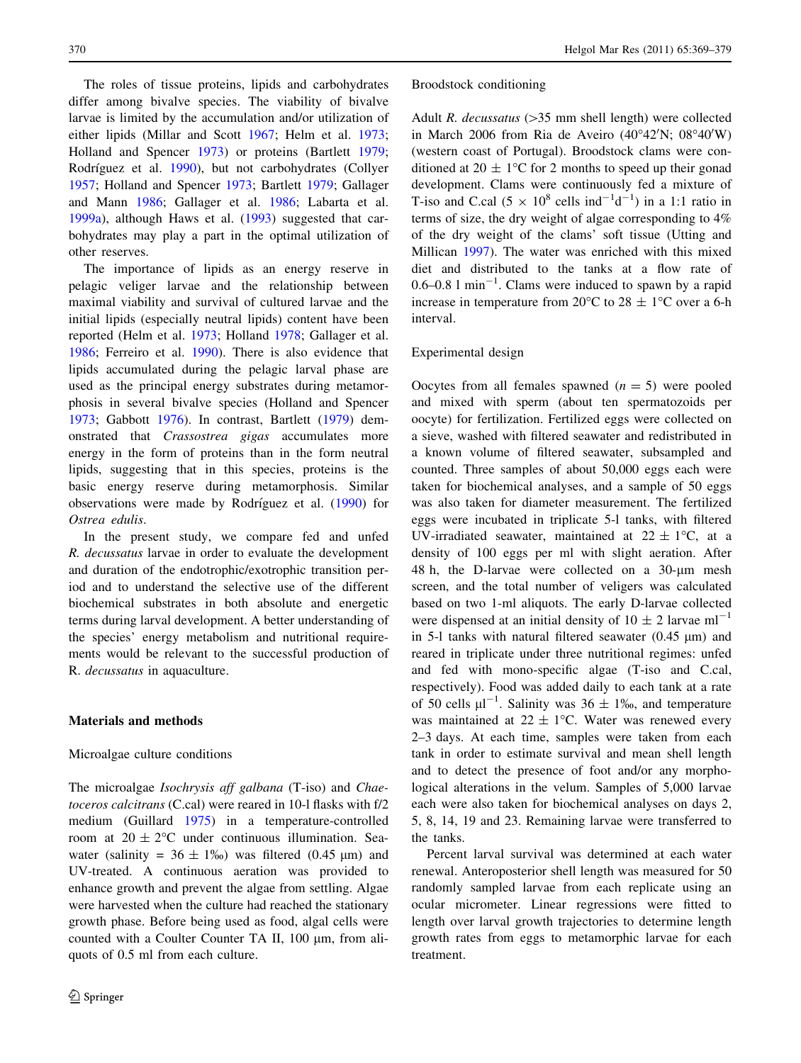The roles of tissue proteins, lipids and carbohydrates differ among bivalve species. The viability of bivalve larvae is limited by the accumulation and/or utilization of either lipids (Millar and Scott [1967](#page-10-0); Helm et al. [1973](#page-10-0); Holland and Spencer [1973\)](#page-10-0) or proteins (Bartlett [1979](#page-9-0); Rodríguez et al. [1990](#page-10-0)), but not carbohydrates (Collyer [1957;](#page-9-0) Holland and Spencer [1973;](#page-10-0) Bartlett [1979](#page-9-0); Gallager and Mann [1986](#page-10-0); Gallager et al. [1986](#page-10-0); Labarta et al. [1999a](#page-10-0)), although Haws et al. [\(1993](#page-10-0)) suggested that carbohydrates may play a part in the optimal utilization of other reserves.

The importance of lipids as an energy reserve in pelagic veliger larvae and the relationship between maximal viability and survival of cultured larvae and the initial lipids (especially neutral lipids) content have been reported (Helm et al. [1973;](#page-10-0) Holland [1978;](#page-10-0) Gallager et al. [1986;](#page-10-0) Ferreiro et al. [1990](#page-9-0)). There is also evidence that lipids accumulated during the pelagic larval phase are used as the principal energy substrates during metamorphosis in several bivalve species (Holland and Spencer [1973;](#page-10-0) Gabbott [1976\)](#page-9-0). In contrast, Bartlett ([1979\)](#page-9-0) demonstrated that Crassostrea gigas accumulates more energy in the form of proteins than in the form neutral lipids, suggesting that in this species, proteins is the basic energy reserve during metamorphosis. Similar observations were made by Rodríguez et al. [\(1990](#page-10-0)) for Ostrea edulis.

In the present study, we compare fed and unfed R. decussatus larvae in order to evaluate the development and duration of the endotrophic/exotrophic transition period and to understand the selective use of the different biochemical substrates in both absolute and energetic terms during larval development. A better understanding of the species' energy metabolism and nutritional requirements would be relevant to the successful production of R. decussatus in aquaculture.

#### Materials and methods

#### Microalgae culture conditions

The microalgae *Isochrysis aff galbana* (T-iso) and *Chae*toceros calcitrans (C.cal) were reared in 10-l flasks with f/2 medium (Guillard [1975\)](#page-10-0) in a temperature-controlled room at  $20 \pm 2^{\circ}$ C under continuous illumination. Seawater (salinity =  $36 \pm 1\%$ ) was filtered (0.45 µm) and UV-treated. A continuous aeration was provided to enhance growth and prevent the algae from settling. Algae were harvested when the culture had reached the stationary growth phase. Before being used as food, algal cells were counted with a Coulter Counter TA II,  $100 \mu m$ , from aliquots of 0.5 ml from each culture.

#### Broodstock conditioning

Adult R. decussatus  $(>=35$  mm shell length) were collected in March 2006 from Ria de Aveiro (40°42'N; 08°40'W) (western coast of Portugal). Broodstock clams were conditioned at  $20 \pm 1$ °C for 2 months to speed up their gonad development. Clams were continuously fed a mixture of T-iso and C.cal  $(5 \times 10^8 \text{ cells} \text{ ind}^{-1} \text{d}^{-1})$  in a 1:1 ratio in terms of size, the dry weight of algae corresponding to 4% of the dry weight of the clams' soft tissue (Utting and Millican [1997](#page-10-0)). The water was enriched with this mixed diet and distributed to the tanks at a flow rate of  $0.6 - 0.8$  l min<sup>-1</sup>. Clams were induced to spawn by a rapid increase in temperature from 20 $\degree$ C to 28  $\pm$  1 $\degree$ C over a 6-h interval.

#### Experimental design

Oocytes from all females spawned  $(n = 5)$  were pooled and mixed with sperm (about ten spermatozoids per oocyte) for fertilization. Fertilized eggs were collected on a sieve, washed with filtered seawater and redistributed in a known volume of filtered seawater, subsampled and counted. Three samples of about 50,000 eggs each were taken for biochemical analyses, and a sample of 50 eggs was also taken for diameter measurement. The fertilized eggs were incubated in triplicate 5-l tanks, with filtered UV-irradiated seawater, maintained at  $22 \pm 1$ °C, at a density of 100 eggs per ml with slight aeration. After 48 h, the D-larvae were collected on a 30-um mesh screen, and the total number of veligers was calculated based on two 1-ml aliquots. The early D-larvae collected were dispensed at an initial density of  $10 \pm 2$  larvae ml<sup>-1</sup> in 5-1 tanks with natural filtered seawater  $(0.45 \mu m)$  and reared in triplicate under three nutritional regimes: unfed and fed with mono-specific algae (T-iso and C.cal, respectively). Food was added daily to each tank at a rate of 50 cells  $\mu$ l<sup>-1</sup>. Salinity was 36  $\pm$  1‰, and temperature was maintained at  $22 \pm 1$ °C. Water was renewed every 2–3 days. At each time, samples were taken from each tank in order to estimate survival and mean shell length and to detect the presence of foot and/or any morphological alterations in the velum. Samples of 5,000 larvae each were also taken for biochemical analyses on days 2, 5, 8, 14, 19 and 23. Remaining larvae were transferred to the tanks.

Percent larval survival was determined at each water renewal. Anteroposterior shell length was measured for 50 randomly sampled larvae from each replicate using an ocular micrometer. Linear regressions were fitted to length over larval growth trajectories to determine length growth rates from eggs to metamorphic larvae for each treatment.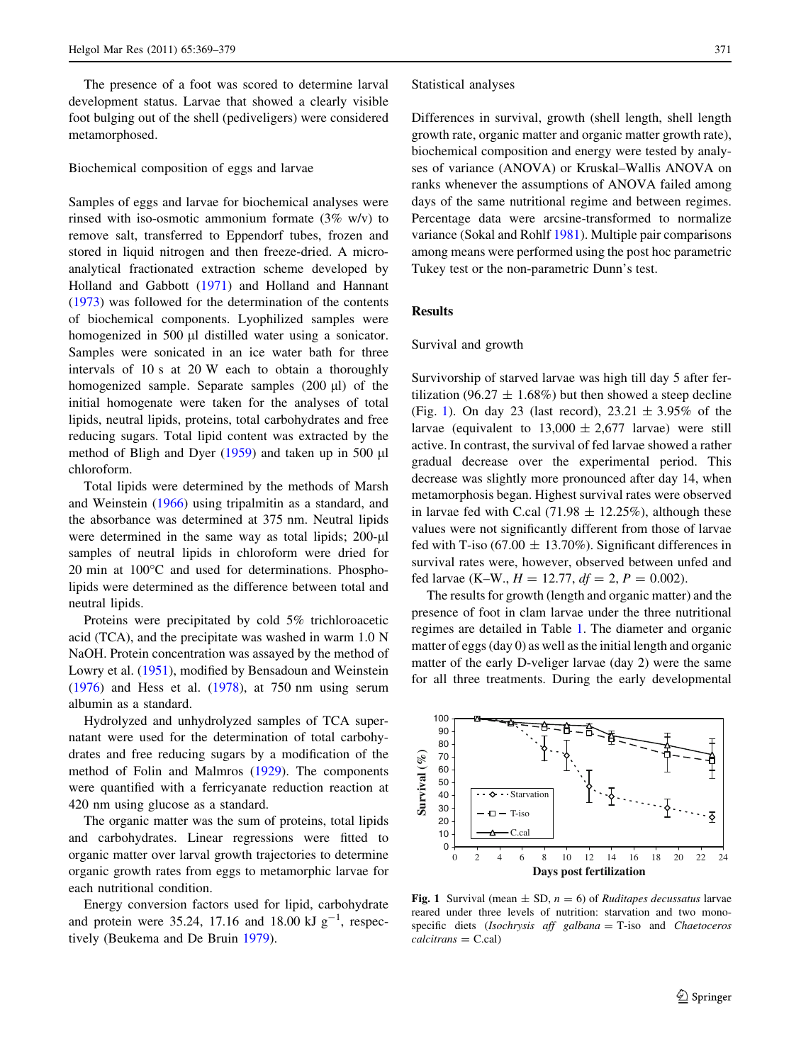The presence of a foot was scored to determine larval development status. Larvae that showed a clearly visible foot bulging out of the shell (pediveligers) were considered metamorphosed.

#### Biochemical composition of eggs and larvae

Samples of eggs and larvae for biochemical analyses were rinsed with iso-osmotic ammonium formate (3% w/v) to remove salt, transferred to Eppendorf tubes, frozen and stored in liquid nitrogen and then freeze-dried. A microanalytical fractionated extraction scheme developed by Holland and Gabbott [\(1971](#page-10-0)) and Holland and Hannant [\(1973](#page-10-0)) was followed for the determination of the contents of biochemical components. Lyophilized samples were homogenized in 500 µl distilled water using a sonicator. Samples were sonicated in an ice water bath for three intervals of 10 s at 20 W each to obtain a thoroughly homogenized sample. Separate samples  $(200 \mu l)$  of the initial homogenate were taken for the analyses of total lipids, neutral lipids, proteins, total carbohydrates and free reducing sugars. Total lipid content was extracted by the method of Bligh and Dyer  $(1959)$  $(1959)$  and taken up in 500 µl chloroform.

Total lipids were determined by the methods of Marsh and Weinstein ([1966\)](#page-10-0) using tripalmitin as a standard, and the absorbance was determined at 375 nm. Neutral lipids were determined in the same way as total lipids;  $200-\mu l$ samples of neutral lipids in chloroform were dried for  $20$  min at  $100^{\circ}$ C and used for determinations. Phospholipids were determined as the difference between total and neutral lipids.

Proteins were precipitated by cold 5% trichloroacetic acid (TCA), and the precipitate was washed in warm 1.0 N NaOH. Protein concentration was assayed by the method of Lowry et al. ([1951\)](#page-10-0), modified by Bensadoun and Weinstein [\(1976](#page-9-0)) and Hess et al. ([1978\)](#page-10-0), at 750 nm using serum albumin as a standard.

Hydrolyzed and unhydrolyzed samples of TCA supernatant were used for the determination of total carbohydrates and free reducing sugars by a modification of the method of Folin and Malmros [\(1929](#page-9-0)). The components were quantified with a ferricyanate reduction reaction at 420 nm using glucose as a standard.

The organic matter was the sum of proteins, total lipids and carbohydrates. Linear regressions were fitted to organic matter over larval growth trajectories to determine organic growth rates from eggs to metamorphic larvae for each nutritional condition.

Energy conversion factors used for lipid, carbohydrate and protein were 35.24, 17.16 and 18.00 kJ  $g^{-1}$ , respectively (Beukema and De Bruin [1979\)](#page-9-0).

#### Statistical analyses

Differences in survival, growth (shell length, shell length growth rate, organic matter and organic matter growth rate), biochemical composition and energy were tested by analyses of variance (ANOVA) or Kruskal–Wallis ANOVA on ranks whenever the assumptions of ANOVA failed among days of the same nutritional regime and between regimes. Percentage data were arcsine-transformed to normalize variance (Sokal and Rohlf [1981\)](#page-10-0). Multiple pair comparisons among means were performed using the post hoc parametric Tukey test or the non-parametric Dunn's test.

#### Results

#### Survival and growth

Survivorship of starved larvae was high till day 5 after fertilization (96.27  $\pm$  1.68%) but then showed a steep decline (Fig. 1). On day 23 (last record),  $23.21 \pm 3.95\%$  of the larvae (equivalent to  $13,000 \pm 2,677$  larvae) were still active. In contrast, the survival of fed larvae showed a rather gradual decrease over the experimental period. This decrease was slightly more pronounced after day 14, when metamorphosis began. Highest survival rates were observed in larvae fed with C.cal (71.98  $\pm$  12.25%), although these values were not significantly different from those of larvae fed with T-iso (67.00  $\pm$  13.70%). Significant differences in survival rates were, however, observed between unfed and fed larvae (K–W.,  $H = 12.77$ ,  $df = 2$ ,  $P = 0.002$ ).

The results for growth (length and organic matter) and the presence of foot in clam larvae under the three nutritional regimes are detailed in Table [1.](#page-3-0) The diameter and organic matter of eggs (day 0) as well as the initial length and organic matter of the early D-veliger larvae (day 2) were the same for all three treatments. During the early developmental



Fig. 1 Survival (mean  $\pm$  SD,  $n = 6$ ) of *Ruditapes decussatus* larvae reared under three levels of nutrition: starvation and two monospecific diets (*Isochrysis aff galbana*  $=$  T-iso and *Chaetoceros*  $calcitrans = C. cal)$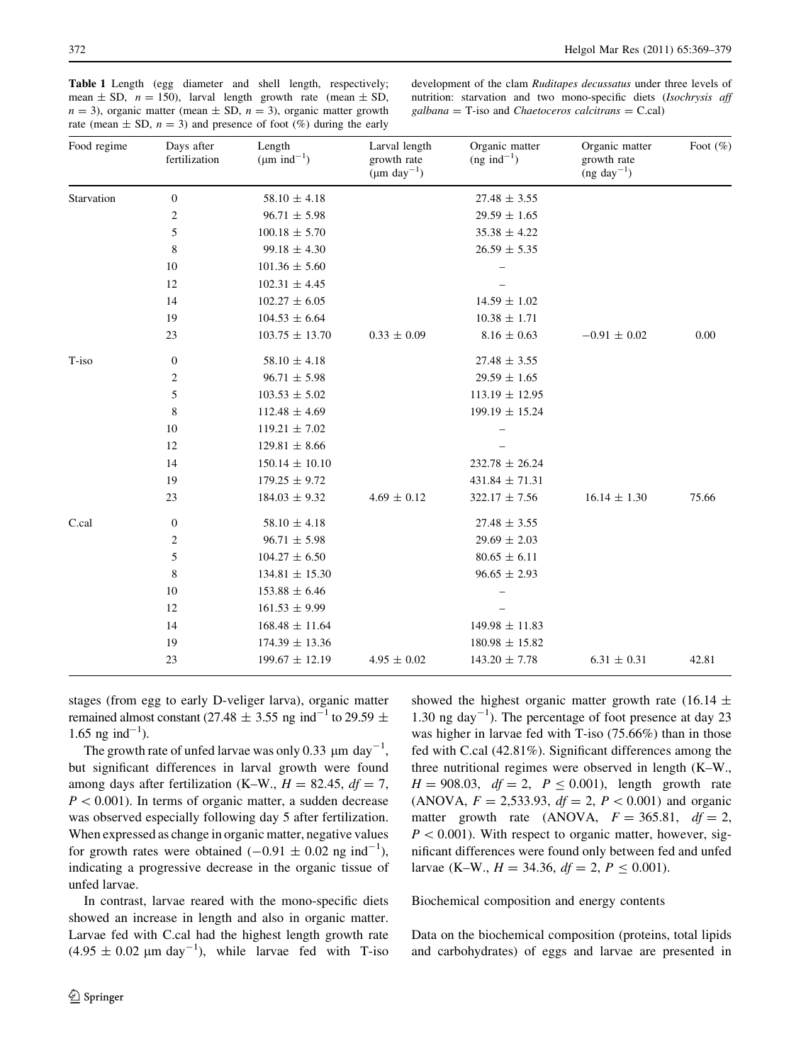<span id="page-3-0"></span>Table 1 Length (egg diameter and shell length, respectively; mean  $\pm$  SD,  $n = 150$ ), larval length growth rate (mean  $\pm$  SD,  $n = 3$ ), organic matter (mean  $\pm$  SD,  $n = 3$ ), organic matter growth rate (mean  $\pm$  SD,  $n = 3$ ) and presence of foot (%) during the early

development of the clam Ruditapes decussatus under three levels of nutrition: starvation and two mono-specific diets (Isochrysis aff  $galbana =$  T-iso and *Chaetoceros calcitrans* = C.cal)

| Food regime | Days after<br>fertilization | Length<br>$(\mu m \text{ ind}^{-1})$ | Larval length<br>growth rate<br>$(\mu m \text{ day}^{-1})$ | Organic matter<br>$(ng$ ind <sup>-1</sup> ) | Organic matter<br>growth rate<br>$(ng day-1)$ | Foot (%) |
|-------------|-----------------------------|--------------------------------------|------------------------------------------------------------|---------------------------------------------|-----------------------------------------------|----------|
| Starvation  | $\boldsymbol{0}$            | $58.10 \pm 4.18$                     |                                                            | $27.48 \pm 3.55$                            |                                               |          |
|             | $\overline{2}$              | $96.71 \pm 5.98$                     |                                                            | $29.59 \pm 1.65$                            |                                               |          |
|             | 5                           | $100.18 \pm 5.70$                    |                                                            | $35.38 \pm 4.22$                            |                                               |          |
|             | 8                           | $99.18 \pm 4.30$                     |                                                            | $26.59 \pm 5.35$                            |                                               |          |
|             | 10                          | $101.36 \pm 5.60$                    |                                                            |                                             |                                               |          |
|             | 12                          | $102.31 \pm 4.45$                    |                                                            |                                             |                                               |          |
|             | 14                          | $102.27 \pm 6.05$                    |                                                            | $14.59 \pm 1.02$                            |                                               |          |
|             | 19                          | $104.53 \pm 6.64$                    |                                                            | $10.38 \pm 1.71$                            |                                               |          |
|             | 23                          | $103.75 \pm 13.70$                   | $0.33 \pm 0.09$                                            | $8.16 \pm 0.63$                             | $-0.91 \pm 0.02$                              | 0.00     |
| T-iso       | $\boldsymbol{0}$            | $58.10 \pm 4.18$                     |                                                            | $27.48 \pm 3.55$                            |                                               |          |
|             | $\overline{c}$              | $96.71 \pm 5.98$                     |                                                            | $29.59 \pm 1.65$                            |                                               |          |
|             | 5                           | $103.53 \pm 5.02$                    |                                                            | $113.19 \pm 12.95$                          |                                               |          |
|             | $\,8\,$                     | $112.48 \pm 4.69$                    |                                                            | $199.19 \pm 15.24$                          |                                               |          |
|             | 10                          | $119.21 \pm 7.02$                    |                                                            |                                             |                                               |          |
|             | 12                          | $129.81 \pm 8.66$                    |                                                            |                                             |                                               |          |
|             | 14                          | $150.14 \pm 10.10$                   |                                                            | $232.78 \pm 26.24$                          |                                               |          |
|             | 19                          | $179.25 \pm 9.72$                    |                                                            | $431.84 \pm 71.31$                          |                                               |          |
|             | 23                          | $184.03 \pm 9.32$                    | $4.69 \pm 0.12$                                            | $322.17 \pm 7.56$                           | $16.14 \pm 1.30$                              | 75.66    |
| C.cal       | $\boldsymbol{0}$            | $58.10 \pm 4.18$                     |                                                            | $27.48 \pm 3.55$                            |                                               |          |
|             | $\overline{c}$              | $96.71 \pm 5.98$                     |                                                            | $29.69 \pm 2.03$                            |                                               |          |
|             | 5                           | $104.27 \pm 6.50$                    |                                                            | $80.65 \pm 6.11$                            |                                               |          |
|             | $\,$ 8 $\,$                 | $134.81 \pm 15.30$                   |                                                            | $96.65 \pm 2.93$                            |                                               |          |
|             | 10                          | $153.88 \pm 6.46$                    |                                                            |                                             |                                               |          |
|             | 12                          | $161.53 \pm 9.99$                    |                                                            |                                             |                                               |          |
|             | 14                          | $168.48 \pm 11.64$                   |                                                            | $149.98 \pm 11.83$                          |                                               |          |
|             | 19                          | $174.39 \pm 13.36$                   |                                                            | $180.98 \pm 15.82$                          |                                               |          |
|             | 23                          | $199.67 \pm 12.19$                   | $4.95 \pm 0.02$                                            | $143.20 \pm 7.78$                           | $6.31 \pm 0.31$                               | 42.81    |

stages (from egg to early D-veliger larva), organic matter remained almost constant (27.48  $\pm$  3.55 ng ind<sup>-1</sup> to 29.59  $\pm$  $1.65$  ng ind<sup>-1</sup>).

The growth rate of unfed larvae was only 0.33  $\mu$ m day<sup>-1</sup>, but significant differences in larval growth were found among days after fertilization (K–W.,  $H = 82.45$ ,  $df = 7$ ,  $P < 0.001$ ). In terms of organic matter, a sudden decrease was observed especially following day 5 after fertilization. When expressed as change in organic matter, negative values for growth rates were obtained  $(-0.91 \pm 0.02 \text{ ng ind}^{-1})$ , indicating a progressive decrease in the organic tissue of unfed larvae.

In contrast, larvae reared with the mono-specific diets showed an increase in length and also in organic matter. Larvae fed with C.cal had the highest length growth rate  $(4.95 \pm 0.02 \mu m \text{ day}^{-1})$ , while larvae fed with T-iso

showed the highest organic matter growth rate (16.14  $\pm$ 1.30 ng day<sup>-1</sup>). The percentage of foot presence at day 23 was higher in larvae fed with T-iso (75.66%) than in those fed with C.cal (42.81%). Significant differences among the three nutritional regimes were observed in length (K–W.,  $H = 908.03$ ,  $df = 2$ ,  $P \le 0.001$ ), length growth rate (ANOVA,  $F = 2,533.93$ ,  $df = 2$ ,  $P < 0.001$ ) and organic matter growth rate (ANOVA,  $F = 365.81$ ,  $df = 2$ ,  $P < 0.001$ ). With respect to organic matter, however, significant differences were found only between fed and unfed larvae (K–W.,  $H = 34.36$ ,  $df = 2$ ,  $P \le 0.001$ ).

Biochemical composition and energy contents

Data on the biochemical composition (proteins, total lipids and carbohydrates) of eggs and larvae are presented in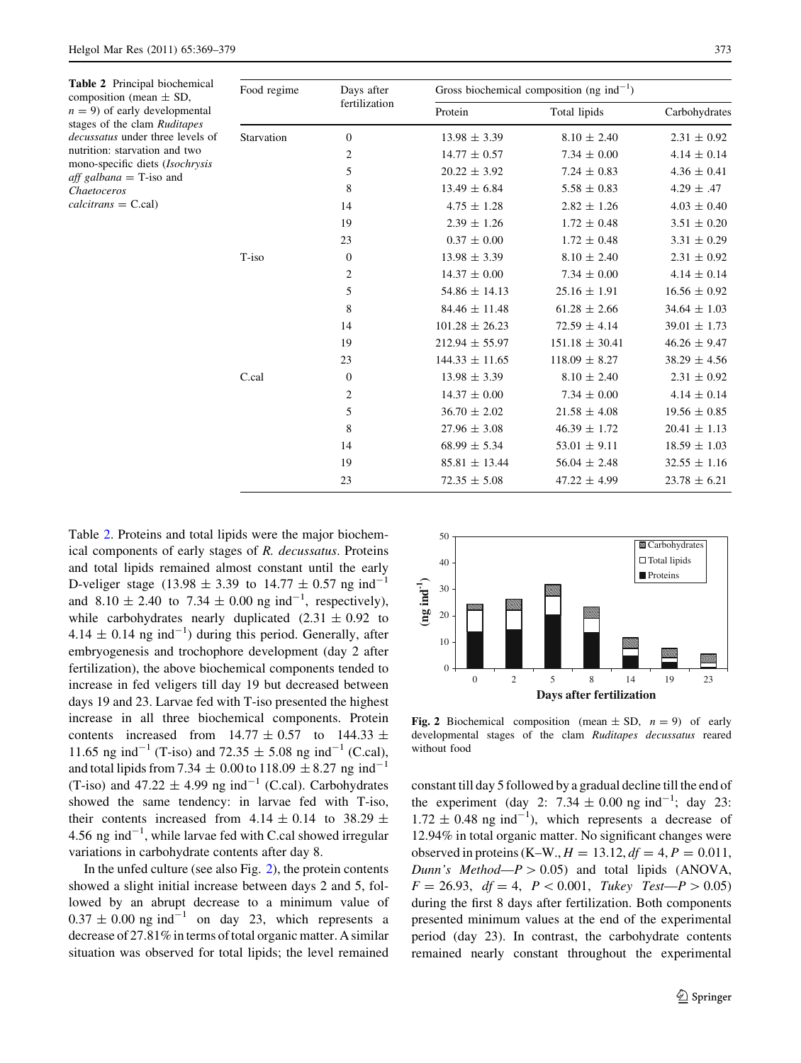| Food regime | Days after       | Gross biochemical composition (ng ind <sup>-1</sup> ) |                    |                  |
|-------------|------------------|-------------------------------------------------------|--------------------|------------------|
|             |                  | Protein                                               | Total lipids       | Carbohydrates    |
| Starvation  | $\mathbf{0}$     | $13.98 \pm 3.39$                                      | $8.10 \pm 2.40$    | $2.31 \pm 0.92$  |
|             | 2                | $14.77 \pm 0.57$                                      | $7.34 \pm 0.00$    | $4.14 \pm 0.14$  |
|             | 5                | $20.22 \pm 3.92$                                      | $7.24 \pm 0.83$    | $4.36 \pm 0.41$  |
|             | 8                | $13.49 \pm 6.84$                                      | $5.58 \pm 0.83$    | 4.29 $\pm$ .47   |
|             | 14               | $4.75 \pm 1.28$                                       | $2.82 \pm 1.26$    | $4.03 \pm 0.40$  |
|             | 19               | $2.39 \pm 1.26$                                       | $1.72 \pm 0.48$    | $3.51 \pm 0.20$  |
|             | 23               | $0.37 \pm 0.00$                                       | $1.72 \pm 0.48$    | $3.31 \pm 0.29$  |
| T-iso       | $\boldsymbol{0}$ | $13.98 \pm 3.39$                                      | $8.10 \pm 2.40$    | $2.31 \pm 0.92$  |
|             | 2                | $14.37 \pm 0.00$                                      | $7.34 \pm 0.00$    | $4.14 \pm 0.14$  |
|             | 5                | $54.86 \pm 14.13$                                     | $25.16 \pm 1.91$   | $16.56 \pm 0.92$ |
|             | 8                | $84.46 \pm 11.48$                                     | $61.28 \pm 2.66$   | $34.64 \pm 1.03$ |
|             | 14               | $101.28 \pm 26.23$                                    | $72.59 \pm 4.14$   | $39.01 \pm 1.73$ |
|             | 19               | $212.94 \pm 55.97$                                    | $151.18 \pm 30.41$ | $46.26 \pm 9.47$ |
|             | 23               | $144.33 \pm 11.65$                                    | $118.09 \pm 8.27$  | $38.29 \pm 4.56$ |
| C.cal       | $\boldsymbol{0}$ | $13.98 \pm 3.39$                                      | $8.10 \pm 2.40$    | $2.31 \pm 0.92$  |
|             | $\overline{2}$   | $14.37 \pm 0.00$                                      | $7.34 \pm 0.00$    | $4.14 \pm 0.14$  |
|             | 5                | $36.70 \pm 2.02$                                      | $21.58 \pm 4.08$   | $19.56 \pm 0.85$ |
|             | 8                | $27.96 \pm 3.08$                                      | $46.39 \pm 1.72$   | $20.41 \pm 1.13$ |
|             | 14               | $68.99 \pm 5.34$                                      | $53.01 \pm 9.11$   | $18.59 \pm 1.03$ |
|             | 19               | $85.81 \pm 13.44$                                     | $56.04 \pm 2.48$   | $32.55 \pm 1.16$ |
|             | 23               | $72.35 \pm 5.08$                                      | $47.22 \pm 4.99$   | $23.78 \pm 6.21$ |
|             |                  | fertilization                                         |                    |                  |

Table 2. Proteins and total lipids were the major biochemical components of early stages of R. decussatus. Proteins and total lipids remained almost constant until the early D-veliger stage (13.98  $\pm$  3.39 to 14.77  $\pm$  0.57 ng ind<sup>-1</sup> and  $8.10 \pm 2.40$  to  $7.34 \pm 0.00$  ng ind<sup>-1</sup>, respectively), while carbohydrates nearly duplicated  $(2.31 \pm 0.92)$  to  $4.14 \pm 0.14$  ng ind<sup>-1</sup>) during this period. Generally, after embryogenesis and trochophore development (day 2 after fertilization), the above biochemical components tended to increase in fed veligers till day 19 but decreased between days 19 and 23. Larvae fed with T-iso presented the highest increase in all three biochemical components. Protein contents increased from  $14.77 \pm 0.57$  to  $144.33 \pm 0.57$ 11.65 ng ind<sup>-1</sup> (T-iso) and 72.35  $\pm$  5.08 ng ind<sup>-1</sup> (C.cal), and total lipids from 7.34  $\pm$  0.00 to 118.09  $\pm$  8.27 ng ind<sup>-1</sup> (T-iso) and  $47.22 \pm 4.99$  ng ind<sup>-1</sup> (C.cal). Carbohydrates showed the same tendency: in larvae fed with T-iso, their contents increased from  $4.14 \pm 0.14$  to 38.29  $\pm$ 4.56 ng ind $^{-1}$ , while larvae fed with C.cal showed irregular variations in carbohydrate contents after day 8.

In the unfed culture (see also Fig. 2), the protein contents showed a slight initial increase between days 2 and 5, followed by an abrupt decrease to a minimum value of  $0.37 \pm 0.00$  ng ind<sup>-1</sup> on day 23, which represents a decrease of 27.81% in terms of total organic matter. A similar situation was observed for total lipids; the level remained



Fig. 2 Biochemical composition (mean  $\pm$  SD,  $n = 9$ ) of early developmental stages of the clam Ruditapes decussatus reared without food

constant till day 5 followed by a gradual decline till the end of the experiment (day 2:  $7.34 \pm 0.00$  ng ind<sup>-1</sup>; day 23:  $1.72 \pm 0.48$  ng ind<sup>-1</sup>), which represents a decrease of 12.94% in total organic matter. No significant changes were observed in proteins (K–W.,  $H = 13.12$ ,  $df = 4$ ,  $P = 0.011$ , *Dunn's Method*— $P > 0.05$ ) and total lipids (ANOVA,  $F = 26.93$ ,  $df = 4$ ,  $P < 0.001$ , Tukey Test— $P > 0.05$ ) during the first 8 days after fertilization. Both components presented minimum values at the end of the experimental period (day 23). In contrast, the carbohydrate contents remained nearly constant throughout the experimental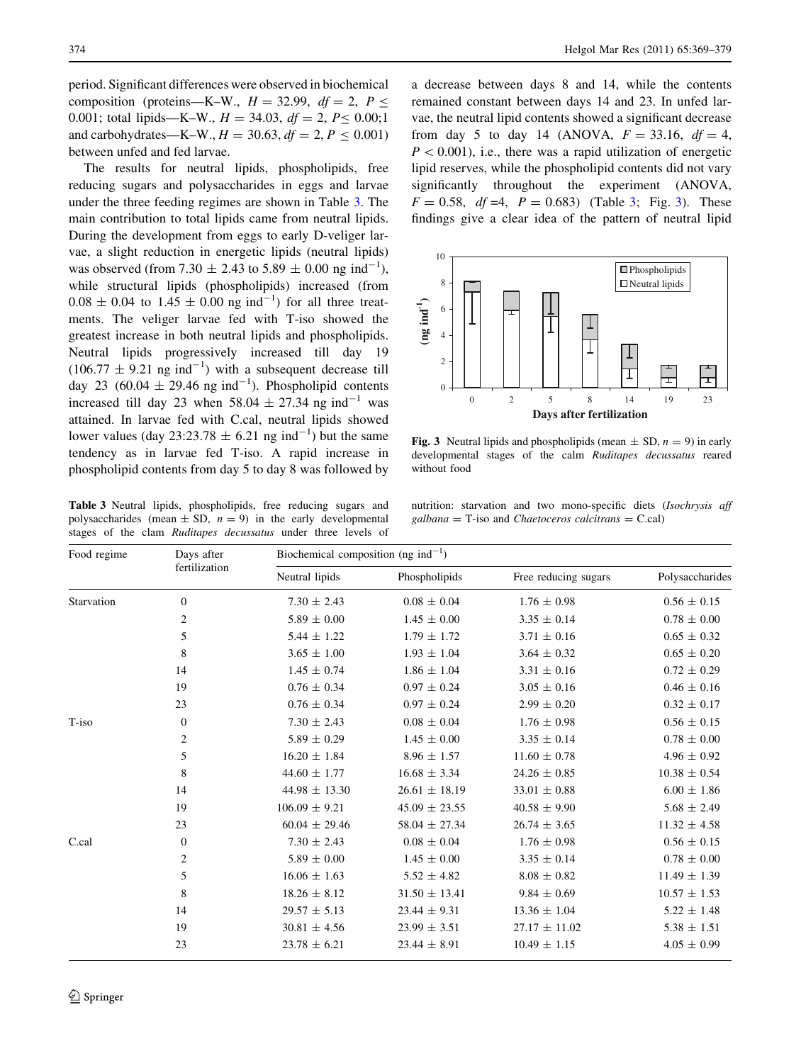period. Significant differences were observed in biochemical composition (proteins—K–W.,  $H = 32.99$ ,  $df = 2$ ,  $P \le$ 0.001; total lipids—K–W.,  $H = 34.03$ ,  $df = 2$ ,  $P \le 0.00;1$ and carbohydrates—K–W.,  $H = 30.63$ ,  $df = 2$ ,  $P \le 0.001$ ) between unfed and fed larvae.

The results for neutral lipids, phospholipids, free reducing sugars and polysaccharides in eggs and larvae under the three feeding regimes are shown in Table 3. The main contribution to total lipids came from neutral lipids. During the development from eggs to early D-veliger larvae, a slight reduction in energetic lipids (neutral lipids) was observed (from 7.30  $\pm$  2.43 to 5.89  $\pm$  0.00 ng ind<sup>-1</sup>), while structural lipids (phospholipids) increased (from  $0.08 \pm 0.04$  to  $1.45 \pm 0.00$  ng ind<sup>-1</sup>) for all three treatments. The veliger larvae fed with T-iso showed the greatest increase in both neutral lipids and phospholipids. Neutral lipids progressively increased till day 19  $(106.77 \pm 9.21 \text{ ng ind}^{-1})$  with a subsequent decrease till day 23 (60.04  $\pm$  29.46 ng ind<sup>-1</sup>). Phospholipid contents increased till day 23 when 58.04  $\pm$  27.34 ng ind<sup>-1</sup> was attained. In larvae fed with C.cal, neutral lipids showed lower values (day 23:23.78  $\pm$  6.21 ng ind<sup>-1</sup>) but the same tendency as in larvae fed T-iso. A rapid increase in phospholipid contents from day 5 to day 8 was followed by

Table 3 Neutral lipids, phospholipids, free reducing sugars and polysaccharides (mean  $\pm$  SD,  $n = 9$ ) in the early developmental stages of the clam Ruditapes decussatus under three levels of

a decrease between days 8 and 14, while the contents remained constant between days 14 and 23. In unfed larvae, the neutral lipid contents showed a significant decrease from day 5 to day 14 (ANOVA,  $F = 33.16$ ,  $df = 4$ ,  $P < 0.001$ ), i.e., there was a rapid utilization of energetic lipid reserves, while the phospholipid contents did not vary significantly throughout the experiment (ANOVA,  $F = 0.58$ ,  $df = 4$ ,  $P = 0.683$ ) (Table 3; Fig. 3). These findings give a clear idea of the pattern of neutral lipid



Fig. 3 Neutral lipids and phospholipids (mean  $\pm$  SD,  $n = 9$ ) in early developmental stages of the calm Ruditapes decussatus reared without food

nutrition: starvation and two mono-specific diets (Isochrysis aff  $\mathit{galbana} =$  T-iso and *Chaetoceros calcitrans* = C.cal)

| Food regime | Days after<br>fertilization | Biochemical composition (ng ind <sup>-1</sup> ) |                   |                      |                  |  |  |
|-------------|-----------------------------|-------------------------------------------------|-------------------|----------------------|------------------|--|--|
|             |                             | Neutral lipids                                  | Phospholipids     | Free reducing sugars | Polysaccharides  |  |  |
| Starvation  | $\overline{0}$              | $7.30 \pm 2.43$                                 | $0.08 \pm 0.04$   | $1.76 \pm 0.98$      | $0.56 \pm 0.15$  |  |  |
|             | $\overline{c}$              | $5.89 \pm 0.00$                                 | $1.45 \pm 0.00$   | $3.35 \pm 0.14$      | $0.78 \pm 0.00$  |  |  |
|             | 5                           | $5.44 \pm 1.22$                                 | $1.79 \pm 1.72$   | $3.71 \pm 0.16$      | $0.65 \pm 0.32$  |  |  |
|             | 8                           | $3.65 \pm 1.00$                                 | $1.93 \pm 1.04$   | $3.64 \pm 0.32$      | $0.65 \pm 0.20$  |  |  |
|             | 14                          | $1.45 \pm 0.74$                                 | $1.86 \pm 1.04$   | $3.31 \pm 0.16$      | $0.72 \pm 0.29$  |  |  |
|             | 19                          | $0.76 \pm 0.34$                                 | $0.97 \pm 0.24$   | $3.05 \pm 0.16$      | $0.46 \pm 0.16$  |  |  |
|             | 23                          | $0.76 \pm 0.34$                                 | $0.97 \pm 0.24$   | $2.99 \pm 0.20$      | $0.32 \pm 0.17$  |  |  |
| T-iso       | $\boldsymbol{0}$            | $7.30 \pm 2.43$                                 | $0.08 \pm 0.04$   | $1.76 \pm 0.98$      | $0.56 \pm 0.15$  |  |  |
|             | $\overline{c}$              | $5.89 \pm 0.29$                                 | $1.45 \pm 0.00$   | $3.35 \pm 0.14$      | $0.78 \pm 0.00$  |  |  |
|             | 5                           | $16.20 \pm 1.84$                                | $8.96 \pm 1.57$   | $11.60 \pm 0.78$     | $4.96 \pm 0.92$  |  |  |
|             | 8                           | $44.60 \pm 1.77$                                | $16.68 \pm 3.34$  | $24.26 \pm 0.85$     | $10.38 \pm 0.54$ |  |  |
|             | 14                          | $44.98 \pm 13.30$                               | $26.61 \pm 18.19$ | $33.01 \pm 0.88$     | $6.00 \pm 1.86$  |  |  |
|             | 19                          | $106.09 \pm 9.21$                               | $45.09 \pm 23.55$ | $40.58 \pm 9.90$     | $5.68 \pm 2.49$  |  |  |
|             | 23                          | $60.04 \pm 29.46$                               | $58.04 \pm 27.34$ | $26.74 \pm 3.65$     | $11.32 \pm 4.58$ |  |  |
| C.cal       | $\boldsymbol{0}$            | $7.30 \pm 2.43$                                 | $0.08 \pm 0.04$   | $1.76 \pm 0.98$      | $0.56 \pm 0.15$  |  |  |
|             | $\overline{c}$              | $5.89 \pm 0.00$                                 | $1.45 \pm 0.00$   | $3.35 \pm 0.14$      | $0.78 \pm 0.00$  |  |  |
|             | 5                           | $16.06 \pm 1.63$                                | $5.52 \pm 4.82$   | $8.08 \pm 0.82$      | $11.49 \pm 1.39$ |  |  |
|             | 8                           | $18.26 \pm 8.12$                                | $31.50 \pm 13.41$ | $9.84 \pm 0.69$      | $10.57 \pm 1.53$ |  |  |
|             | 14                          | $29.57 \pm 5.13$                                | $23.44 \pm 9.31$  | $13.36 \pm 1.04$     | $5.22 \pm 1.48$  |  |  |
|             | 19                          | $30.81 \pm 4.56$                                | $23.99 \pm 3.51$  | $27.17 \pm 11.02$    | $5.38 \pm 1.51$  |  |  |
|             | 23                          | $23.78 \pm 6.21$                                | $23.44 \pm 8.91$  | $10.49 \pm 1.15$     | $4.05 \pm 0.99$  |  |  |
|             |                             |                                                 |                   |                      |                  |  |  |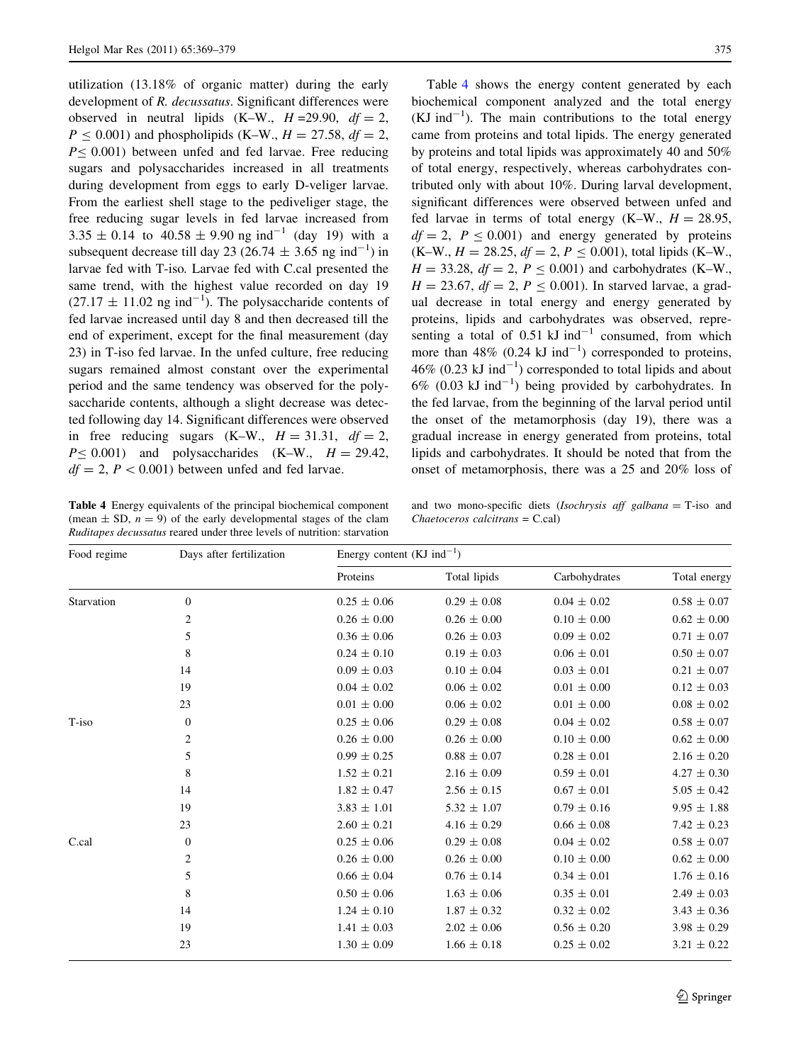utilization (13.18% of organic matter) during the early development of R. decussatus. Significant differences were observed in neutral lipids  $(K-W, H=29.90, df = 2$ ,  $P \le 0.001$ ) and phospholipids (K–W.,  $H = 27.58$ ,  $df = 2$ ,  $P \le 0.001$ ) between unfed and fed larvae. Free reducing sugars and polysaccharides increased in all treatments during development from eggs to early D-veliger larvae. From the earliest shell stage to the pediveliger stage, the free reducing sugar levels in fed larvae increased from  $3.35 \pm 0.14$  to  $40.58 \pm 9.90$  ng ind<sup>-1</sup> (day 19) with a subsequent decrease till day 23 (26.74  $\pm$  3.65 ng ind<sup>-1</sup>) in larvae fed with T-iso. Larvae fed with C.cal presented the same trend, with the highest value recorded on day 19  $(27.17 \pm 11.02 \text{ ng ind}^{-1})$ . The polysaccharide contents of fed larvae increased until day 8 and then decreased till the end of experiment, except for the final measurement (day 23) in T-iso fed larvae. In the unfed culture, free reducing sugars remained almost constant over the experimental period and the same tendency was observed for the polysaccharide contents, although a slight decrease was detected following day 14. Significant differences were observed in free reducing sugars  $(K-W, H = 31.31, df = 2,$  $P \leq 0.001$ ) and polysaccharides (K–W.,  $H = 29.42$ ,  $df = 2$ ,  $P < 0.001$ ) between unfed and fed larvae.

Table 4 Energy equivalents of the principal biochemical component (mean  $\pm$  SD,  $n = 9$ ) of the early developmental stages of the clam Ruditapes decussatus reared under three levels of nutrition: starvation

Table 4 shows the energy content generated by each biochemical component analyzed and the total energy  $(KJ \text{ ind}^{-1})$ . The main contributions to the total energy came from proteins and total lipids. The energy generated by proteins and total lipids was approximately 40 and 50% of total energy, respectively, whereas carbohydrates contributed only with about 10%. During larval development, significant differences were observed between unfed and fed larvae in terms of total energy (K–W.,  $H = 28.95$ ,  $df = 2$ ,  $P \le 0.001$ ) and energy generated by proteins  $(K-W, H = 28.25, df = 2, P < 0.001)$ , total lipids  $(K-W,$  $H = 33.28, df = 2, P \le 0.001$ ) and carbohydrates (K–W.,  $H = 23.67$ ,  $df = 2$ ,  $P \le 0.001$ ). In starved larvae, a gradual decrease in total energy and energy generated by proteins, lipids and carbohydrates was observed, representing a total of  $0.51 \text{ kJ}$  ind<sup>-1</sup> consumed, from which more than  $48\%$  (0.24 kJ ind<sup>-1</sup>) corresponded to proteins,  $46\%$  (0.23 kJ ind<sup>-1</sup>) corresponded to total lipids and about  $6\%$  (0.03 kJ ind<sup>-1</sup>) being provided by carbohydrates. In the fed larvae, from the beginning of the larval period until the onset of the metamorphosis (day 19), there was a gradual increase in energy generated from proteins, total lipids and carbohydrates. It should be noted that from the onset of metamorphosis, there was a 25 and 20% loss of

and two mono-specific diets (*Isochrysis aff galbana* =  $T$ -iso and Chaetoceros calcitrans = C.cal)

| Food regime | Days after fertilization | Energy content (KJ ind <sup>-1</sup> ) |                 |                 |                 |  |
|-------------|--------------------------|----------------------------------------|-----------------|-----------------|-----------------|--|
|             |                          | Proteins                               | Total lipids    | Carbohydrates   | Total energy    |  |
| Starvation  | $\mathbf{0}$             | $0.25 \pm 0.06$                        | $0.29 \pm 0.08$ | $0.04 \pm 0.02$ | $0.58 \pm 0.07$ |  |
|             | $\overline{2}$           | $0.26 \pm 0.00$                        | $0.26 \pm 0.00$ | $0.10 \pm 0.00$ | $0.62 \pm 0.00$ |  |
|             | 5                        | $0.36 \pm 0.06$                        | $0.26 \pm 0.03$ | $0.09 \pm 0.02$ | $0.71 \pm 0.07$ |  |
|             | 8                        | $0.24 \pm 0.10$                        | $0.19 \pm 0.03$ | $0.06 \pm 0.01$ | $0.50 \pm 0.07$ |  |
|             | 14                       | $0.09 \pm 0.03$                        | $0.10 \pm 0.04$ | $0.03 \pm 0.01$ | $0.21 \pm 0.07$ |  |
|             | 19                       | $0.04 \pm 0.02$                        | $0.06 \pm 0.02$ | $0.01 \pm 0.00$ | $0.12 \pm 0.03$ |  |
|             | 23                       | $0.01 \pm 0.00$                        | $0.06 \pm 0.02$ | $0.01 \pm 0.00$ | $0.08 \pm 0.02$ |  |
| T-iso       | $\mathbf{0}$             | $0.25 \pm 0.06$                        | $0.29 \pm 0.08$ | $0.04 \pm 0.02$ | $0.58 \pm 0.07$ |  |
|             | $\overline{c}$           | $0.26 \pm 0.00$                        | $0.26 \pm 0.00$ | $0.10 \pm 0.00$ | $0.62 \pm 0.00$ |  |
|             | 5                        | $0.99 \pm 0.25$                        | $0.88 \pm 0.07$ | $0.28 \pm 0.01$ | $2.16 \pm 0.20$ |  |
|             | 8                        | $1.52 \pm 0.21$                        | $2.16 \pm 0.09$ | $0.59 \pm 0.01$ | $4.27 \pm 0.30$ |  |
|             | 14                       | $1.82 \pm 0.47$                        | $2.56 \pm 0.15$ | $0.67 \pm 0.01$ | $5.05 \pm 0.42$ |  |
|             | 19                       | $3.83 \pm 1.01$                        | $5.32 \pm 1.07$ | $0.79 \pm 0.16$ | $9.95 \pm 1.88$ |  |
|             | 23                       | $2.60 \pm 0.21$                        | $4.16 \pm 0.29$ | $0.66 \pm 0.08$ | $7.42 \pm 0.23$ |  |
| C.cal       | $\boldsymbol{0}$         | $0.25 \pm 0.06$                        | $0.29 \pm 0.08$ | $0.04 \pm 0.02$ | $0.58 \pm 0.07$ |  |
|             | $\overline{c}$           | $0.26 \pm 0.00$                        | $0.26 \pm 0.00$ | $0.10 \pm 0.00$ | $0.62 \pm 0.00$ |  |
|             | 5                        | $0.66 \pm 0.04$                        | $0.76 \pm 0.14$ | $0.34 \pm 0.01$ | $1.76 \pm 0.16$ |  |
|             | 8                        | $0.50 \pm 0.06$                        | $1.63 \pm 0.06$ | $0.35 \pm 0.01$ | $2.49 \pm 0.03$ |  |
|             | 14                       | $1.24 \pm 0.10$                        | $1.87 \pm 0.32$ | $0.32 \pm 0.02$ | $3.43 \pm 0.36$ |  |
|             | 19                       | $1.41 \pm 0.03$                        | $2.02 \pm 0.06$ | $0.56 \pm 0.20$ | $3.98 \pm 0.29$ |  |
|             | 23                       | $1.30 \pm 0.09$                        | $1.66 \pm 0.18$ | $0.25 \pm 0.02$ | $3.21 \pm 0.22$ |  |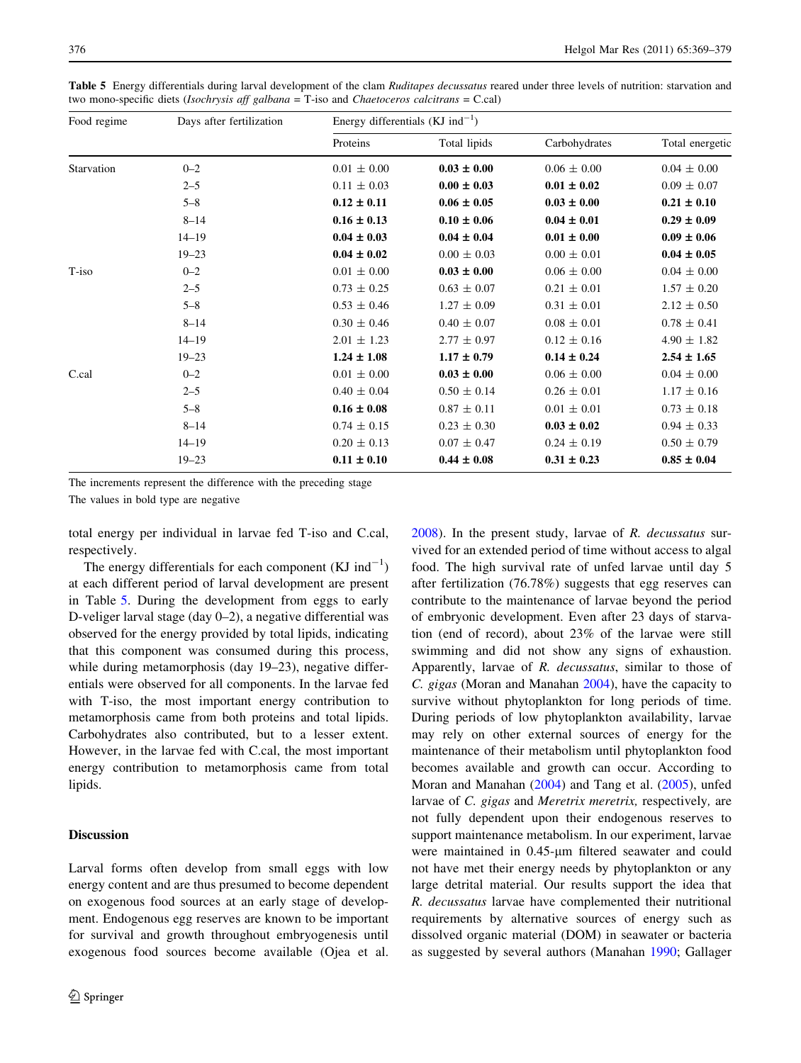| Food regime | Days after fertilization | Energy differentials (KJ ind <sup>-1</sup> ) |                 |                 |                 |  |
|-------------|--------------------------|----------------------------------------------|-----------------|-----------------|-----------------|--|
|             |                          | Proteins                                     | Total lipids    | Carbohydrates   | Total energetic |  |
| Starvation  | $0 - 2$                  | $0.01 \pm 0.00$                              | $0.03 \pm 0.00$ | $0.06 \pm 0.00$ | $0.04 \pm 0.00$ |  |
|             | $2 - 5$                  | $0.11 \pm 0.03$                              | $0.00 \pm 0.03$ | $0.01 \pm 0.02$ | $0.09 \pm 0.07$ |  |
|             | $5 - 8$                  | $0.12 \pm 0.11$                              | $0.06 \pm 0.05$ | $0.03 \pm 0.00$ | $0.21 \pm 0.10$ |  |
|             | $8 - 14$                 | $0.16 \pm 0.13$                              | $0.10 \pm 0.06$ | $0.04 \pm 0.01$ | $0.29 \pm 0.09$ |  |
|             | $14 - 19$                | $0.04 \pm 0.03$                              | $0.04 \pm 0.04$ | $0.01 \pm 0.00$ | $0.09 \pm 0.06$ |  |
|             | $19 - 23$                | $0.04 \pm 0.02$                              | $0.00 \pm 0.03$ | $0.00 \pm 0.01$ | $0.04 \pm 0.05$ |  |
| T-iso       | $0 - 2$                  | $0.01 \pm 0.00$                              | $0.03 \pm 0.00$ | $0.06 \pm 0.00$ | $0.04 \pm 0.00$ |  |
|             | $2 - 5$                  | $0.73 \pm 0.25$                              | $0.63 \pm 0.07$ | $0.21 \pm 0.01$ | $1.57 \pm 0.20$ |  |
|             | $5 - 8$                  | $0.53 \pm 0.46$                              | $1.27 \pm 0.09$ | $0.31 \pm 0.01$ | $2.12 \pm 0.50$ |  |
|             | $8 - 14$                 | $0.30 \pm 0.46$                              | $0.40 \pm 0.07$ | $0.08 \pm 0.01$ | $0.78 \pm 0.41$ |  |
|             | $14 - 19$                | $2.01 \pm 1.23$                              | $2.77 \pm 0.97$ | $0.12 \pm 0.16$ | $4.90 \pm 1.82$ |  |
|             | $19 - 23$                | $1.24 \pm 1.08$                              | $1.17 \pm 0.79$ | $0.14 \pm 0.24$ | $2.54 \pm 1.65$ |  |
| C.cal       | $0 - 2$                  | $0.01 \pm 0.00$                              | $0.03 \pm 0.00$ | $0.06 \pm 0.00$ | $0.04 \pm 0.00$ |  |
|             | $2 - 5$                  | $0.40 \pm 0.04$                              | $0.50 \pm 0.14$ | $0.26 \pm 0.01$ | $1.17 \pm 0.16$ |  |
|             | $5 - 8$                  | $0.16 \pm 0.08$                              | $0.87 \pm 0.11$ | $0.01 \pm 0.01$ | $0.73 \pm 0.18$ |  |
|             | $8 - 14$                 | $0.74 \pm 0.15$                              | $0.23 \pm 0.30$ | $0.03 \pm 0.02$ | $0.94 \pm 0.33$ |  |
|             | $14 - 19$                | $0.20 \pm 0.13$                              | $0.07 \pm 0.47$ | $0.24 \pm 0.19$ | $0.50 \pm 0.79$ |  |
|             | $19 - 23$                | $0.11 \pm 0.10$                              | $0.44 \pm 0.08$ | $0.31 \pm 0.23$ | $0.85 \pm 0.04$ |  |

Table 5 Energy differentials during larval development of the clam Ruditapes decussatus reared under three levels of nutrition: starvation and two mono-specific diets (Isochrysis aff galbana = T-iso and Chaetoceros calcitrans = C.cal)

The increments represent the difference with the preceding stage

The values in bold type are negative

total energy per individual in larvae fed T-iso and C.cal, respectively.

The energy differentials for each component  $(KJ \text{ ind}^{-1})$ at each different period of larval development are present in Table 5. During the development from eggs to early D-veliger larval stage (day 0–2), a negative differential was observed for the energy provided by total lipids, indicating that this component was consumed during this process, while during metamorphosis (day 19–23), negative differentials were observed for all components. In the larvae fed with T-iso, the most important energy contribution to metamorphosis came from both proteins and total lipids. Carbohydrates also contributed, but to a lesser extent. However, in the larvae fed with C.cal, the most important energy contribution to metamorphosis came from total lipids.

# Discussion

Larval forms often develop from small eggs with low energy content and are thus presumed to become dependent on exogenous food sources at an early stage of development. Endogenous egg reserves are known to be important for survival and growth throughout embryogenesis until exogenous food sources become available (Ojea et al.

[2008](#page-10-0)). In the present study, larvae of R. decussatus survived for an extended period of time without access to algal food. The high survival rate of unfed larvae until day 5 after fertilization (76.78%) suggests that egg reserves can contribute to the maintenance of larvae beyond the period of embryonic development. Even after 23 days of starvation (end of record), about 23% of the larvae were still swimming and did not show any signs of exhaustion. Apparently, larvae of R. decussatus, similar to those of C. gigas (Moran and Manahan [2004\)](#page-10-0), have the capacity to survive without phytoplankton for long periods of time. During periods of low phytoplankton availability, larvae may rely on other external sources of energy for the maintenance of their metabolism until phytoplankton food becomes available and growth can occur. According to Moran and Manahan ([2004](#page-10-0)) and Tang et al. [\(2005](#page-10-0)), unfed larvae of C. gigas and Meretrix meretrix, respectively, are not fully dependent upon their endogenous reserves to support maintenance metabolism. In our experiment, larvae were maintained in 0.45-um filtered seawater and could not have met their energy needs by phytoplankton or any large detrital material. Our results support the idea that R. decussatus larvae have complemented their nutritional requirements by alternative sources of energy such as dissolved organic material (DOM) in seawater or bacteria as suggested by several authors (Manahan [1990](#page-10-0); Gallager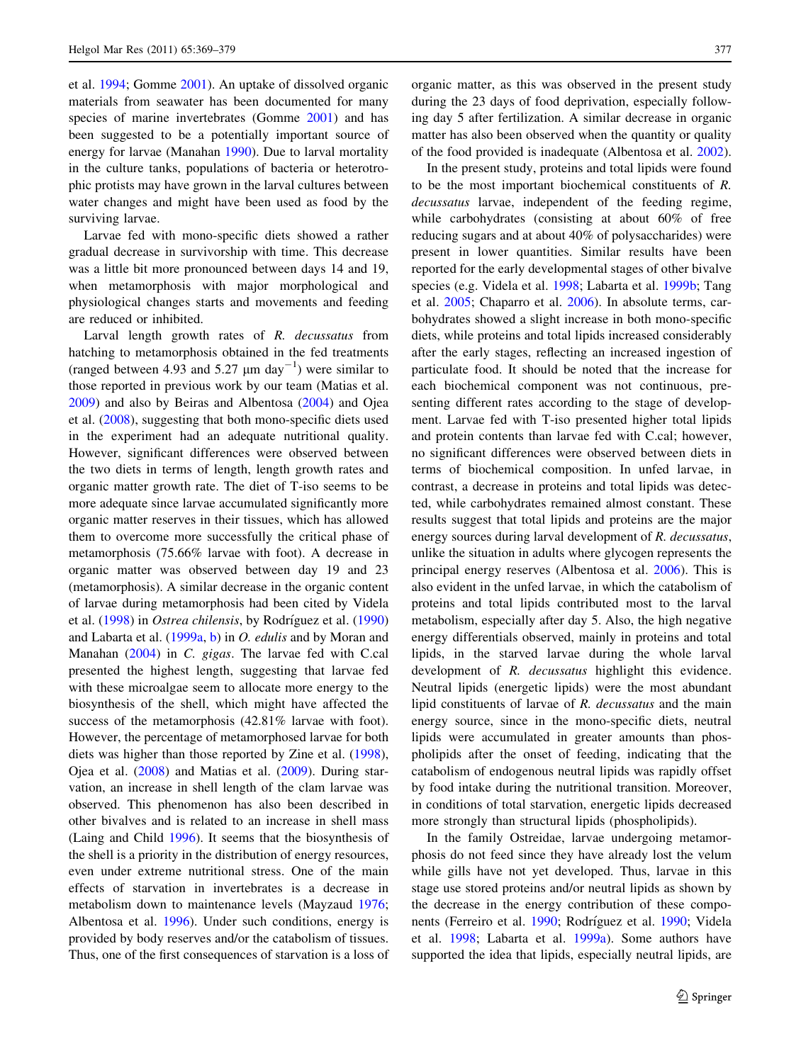et al. [1994;](#page-10-0) Gomme [2001](#page-10-0)). An uptake of dissolved organic materials from seawater has been documented for many species of marine invertebrates (Gomme [2001](#page-10-0)) and has been suggested to be a potentially important source of energy for larvae (Manahan [1990](#page-10-0)). Due to larval mortality in the culture tanks, populations of bacteria or heterotrophic protists may have grown in the larval cultures between water changes and might have been used as food by the surviving larvae.

Larvae fed with mono-specific diets showed a rather gradual decrease in survivorship with time. This decrease was a little bit more pronounced between days 14 and 19, when metamorphosis with major morphological and physiological changes starts and movements and feeding are reduced or inhibited.

Larval length growth rates of R. decussatus from hatching to metamorphosis obtained in the fed treatments (ranged between 4.93 and 5.27  $\mu$ m day<sup>-1</sup>) were similar to those reported in previous work by our team (Matias et al. [2009\)](#page-10-0) and also by Beiras and Albentosa ([2004\)](#page-9-0) and Ojea et al. [\(2008](#page-10-0)), suggesting that both mono-specific diets used in the experiment had an adequate nutritional quality. However, significant differences were observed between the two diets in terms of length, length growth rates and organic matter growth rate. The diet of T-iso seems to be more adequate since larvae accumulated significantly more organic matter reserves in their tissues, which has allowed them to overcome more successfully the critical phase of metamorphosis (75.66% larvae with foot). A decrease in organic matter was observed between day 19 and 23 (metamorphosis). A similar decrease in the organic content of larvae during metamorphosis had been cited by Videla et al. ([1998\)](#page-10-0) in *Ostrea chilensis*, by Rodríguez et al. ([1990\)](#page-10-0) and Labarta et al. ([1999a](#page-10-0), [b](#page-10-0)) in O. edulis and by Moran and Manahan [\(2004](#page-10-0)) in C. gigas. The larvae fed with C.cal presented the highest length, suggesting that larvae fed with these microalgae seem to allocate more energy to the biosynthesis of the shell, which might have affected the success of the metamorphosis (42.81% larvae with foot). However, the percentage of metamorphosed larvae for both diets was higher than those reported by Zine et al. [\(1998](#page-10-0)), Ojea et al. ([2008\)](#page-10-0) and Matias et al. ([2009\)](#page-10-0). During starvation, an increase in shell length of the clam larvae was observed. This phenomenon has also been described in other bivalves and is related to an increase in shell mass (Laing and Child [1996\)](#page-10-0). It seems that the biosynthesis of the shell is a priority in the distribution of energy resources, even under extreme nutritional stress. One of the main effects of starvation in invertebrates is a decrease in metabolism down to maintenance levels (Mayzaud [1976](#page-10-0); Albentosa et al. [1996](#page-9-0)). Under such conditions, energy is provided by body reserves and/or the catabolism of tissues. Thus, one of the first consequences of starvation is a loss of organic matter, as this was observed in the present study during the 23 days of food deprivation, especially following day 5 after fertilization. A similar decrease in organic matter has also been observed when the quantity or quality of the food provided is inadequate (Albentosa et al. [2002](#page-9-0)).

In the present study, proteins and total lipids were found to be the most important biochemical constituents of R. decussatus larvae, independent of the feeding regime, while carbohydrates (consisting at about 60% of free reducing sugars and at about 40% of polysaccharides) were present in lower quantities. Similar results have been reported for the early developmental stages of other bivalve species (e.g. Videla et al. [1998;](#page-10-0) Labarta et al. [1999b](#page-10-0); Tang et al. [2005](#page-10-0); Chaparro et al. [2006\)](#page-9-0). In absolute terms, carbohydrates showed a slight increase in both mono-specific diets, while proteins and total lipids increased considerably after the early stages, reflecting an increased ingestion of particulate food. It should be noted that the increase for each biochemical component was not continuous, presenting different rates according to the stage of development. Larvae fed with T-iso presented higher total lipids and protein contents than larvae fed with C.cal; however, no significant differences were observed between diets in terms of biochemical composition. In unfed larvae, in contrast, a decrease in proteins and total lipids was detected, while carbohydrates remained almost constant. These results suggest that total lipids and proteins are the major energy sources during larval development of R. decussatus, unlike the situation in adults where glycogen represents the principal energy reserves (Albentosa et al. [2006](#page-9-0)). This is also evident in the unfed larvae, in which the catabolism of proteins and total lipids contributed most to the larval metabolism, especially after day 5. Also, the high negative energy differentials observed, mainly in proteins and total lipids, in the starved larvae during the whole larval development of R. decussatus highlight this evidence. Neutral lipids (energetic lipids) were the most abundant lipid constituents of larvae of R. decussatus and the main energy source, since in the mono-specific diets, neutral lipids were accumulated in greater amounts than phospholipids after the onset of feeding, indicating that the catabolism of endogenous neutral lipids was rapidly offset by food intake during the nutritional transition. Moreover, in conditions of total starvation, energetic lipids decreased more strongly than structural lipids (phospholipids).

In the family Ostreidae, larvae undergoing metamorphosis do not feed since they have already lost the velum while gills have not yet developed. Thus, larvae in this stage use stored proteins and/or neutral lipids as shown by the decrease in the energy contribution of these compo-nents (Ferreiro et al. [1990;](#page-9-0) Rodríguez et al. [1990](#page-10-0); Videla et al. [1998](#page-10-0); Labarta et al. [1999a\)](#page-10-0). Some authors have supported the idea that lipids, especially neutral lipids, are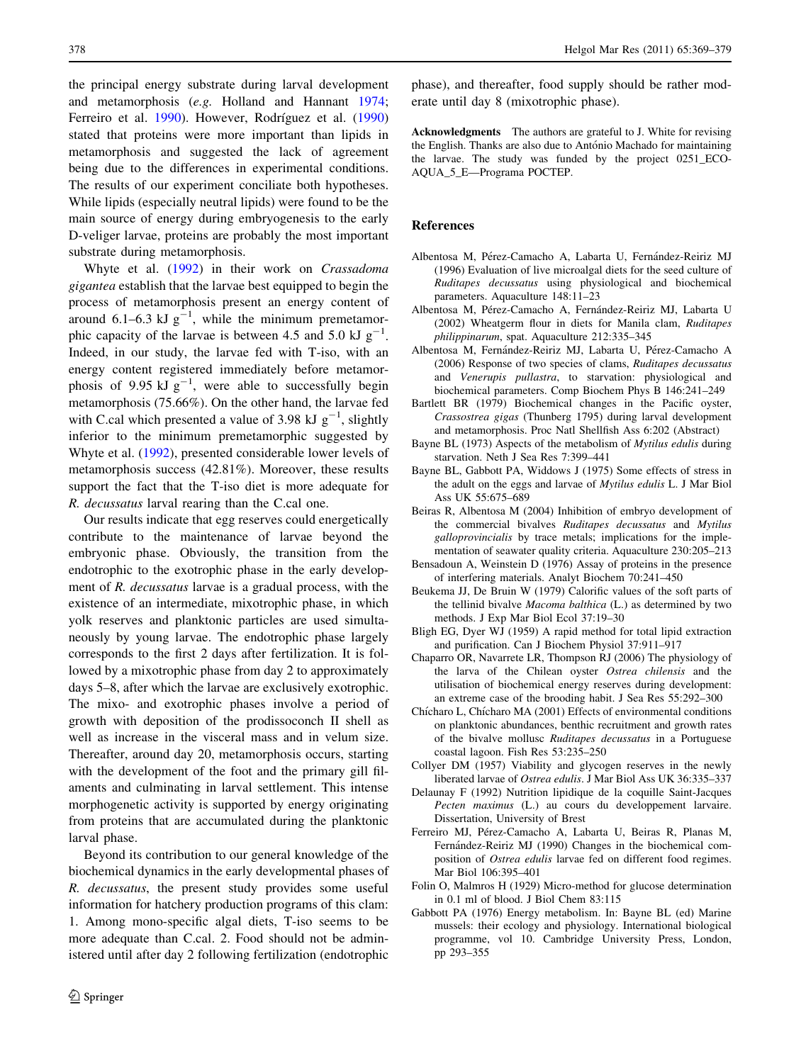<span id="page-9-0"></span>the principal energy substrate during larval development and metamorphosis (e.g. Holland and Hannant [1974](#page-10-0); Ferreiro et al. [1990\)](#page-10-0). However, Rodríguez et al. (1990) stated that proteins were more important than lipids in metamorphosis and suggested the lack of agreement being due to the differences in experimental conditions. The results of our experiment conciliate both hypotheses. While lipids (especially neutral lipids) were found to be the main source of energy during embryogenesis to the early D-veliger larvae, proteins are probably the most important substrate during metamorphosis.

Whyte et al. ([1992\)](#page-10-0) in their work on Crassadoma gigantea establish that the larvae best equipped to begin the process of metamorphosis present an energy content of around 6.1–6.3 kJ  $g^{-1}$ , while the minimum premetamorphic capacity of the larvae is between 4.5 and 5.0 kJ  $g^{-1}$ . Indeed, in our study, the larvae fed with T-iso, with an energy content registered immediately before metamorphosis of 9.95 kJ  $g^{-1}$ , were able to successfully begin metamorphosis (75.66%). On the other hand, the larvae fed with C.cal which presented a value of 3.98 kJ  $g^{-1}$ , slightly inferior to the minimum premetamorphic suggested by Whyte et al. [\(1992](#page-10-0)), presented considerable lower levels of metamorphosis success (42.81%). Moreover, these results support the fact that the T-iso diet is more adequate for R. decussatus larval rearing than the C.cal one.

Our results indicate that egg reserves could energetically contribute to the maintenance of larvae beyond the embryonic phase. Obviously, the transition from the endotrophic to the exotrophic phase in the early development of R. *decussatus* larvae is a gradual process, with the existence of an intermediate, mixotrophic phase, in which yolk reserves and planktonic particles are used simultaneously by young larvae. The endotrophic phase largely corresponds to the first 2 days after fertilization. It is followed by a mixotrophic phase from day 2 to approximately days 5–8, after which the larvae are exclusively exotrophic. The mixo- and exotrophic phases involve a period of growth with deposition of the prodissoconch II shell as well as increase in the visceral mass and in velum size. Thereafter, around day 20, metamorphosis occurs, starting with the development of the foot and the primary gill filaments and culminating in larval settlement. This intense morphogenetic activity is supported by energy originating from proteins that are accumulated during the planktonic larval phase.

Beyond its contribution to our general knowledge of the biochemical dynamics in the early developmental phases of R. decussatus, the present study provides some useful information for hatchery production programs of this clam: 1. Among mono-specific algal diets, T-iso seems to be more adequate than C.cal. 2. Food should not be administered until after day 2 following fertilization (endotrophic

phase), and thereafter, food supply should be rather moderate until day 8 (mixotrophic phase).

Acknowledgments The authors are grateful to J. White for revising the English. Thanks are also due to António Machado for maintaining the larvae. The study was funded by the project 0251\_ECO-AQUA\_5\_E—Programa POCTEP.

#### References

- Albentosa M, Pérez-Camacho A, Labarta U, Fernández-Reiriz MJ (1996) Evaluation of live microalgal diets for the seed culture of Ruditapes decussatus using physiological and biochemical parameters. Aquaculture 148:11–23
- Albentosa M, Pérez-Camacho A, Fernández-Reiriz MJ, Labarta U (2002) Wheatgerm flour in diets for Manila clam, Ruditapes philippinarum, spat. Aquaculture 212:335–345
- Albentosa M, Fernández-Reiriz MJ, Labarta U, Pérez-Camacho A (2006) Response of two species of clams, Ruditapes decussatus and Venerupis pullastra, to starvation: physiological and biochemical parameters. Comp Biochem Phys B 146:241–249
- Bartlett BR (1979) Biochemical changes in the Pacific oyster, Crassostrea gigas (Thunberg 1795) during larval development and metamorphosis. Proc Natl Shellfish Ass 6:202 (Abstract)
- Bayne BL (1973) Aspects of the metabolism of Mytilus edulis during starvation. Neth J Sea Res 7:399–441
- Bayne BL, Gabbott PA, Widdows J (1975) Some effects of stress in the adult on the eggs and larvae of Mytilus edulis L. J Mar Biol Ass UK 55:675–689
- Beiras R, Albentosa M (2004) Inhibition of embryo development of the commercial bivalves Ruditapes decussatus and Mytilus galloprovincialis by trace metals; implications for the implementation of seawater quality criteria. Aquaculture 230:205–213
- Bensadoun A, Weinstein D (1976) Assay of proteins in the presence of interfering materials. Analyt Biochem 70:241–450
- Beukema JJ, De Bruin W (1979) Calorific values of the soft parts of the tellinid bivalve Macoma balthica (L.) as determined by two methods. J Exp Mar Biol Ecol 37:19–30
- Bligh EG, Dyer WJ (1959) A rapid method for total lipid extraction and purification. Can J Biochem Physiol 37:911–917
- Chaparro OR, Navarrete LR, Thompson RJ (2006) The physiology of the larva of the Chilean oyster Ostrea chilensis and the utilisation of biochemical energy reserves during development: an extreme case of the brooding habit. J Sea Res 55:292–300
- Chícharo L, Chícharo MA (2001) Effects of environmental conditions on planktonic abundances, benthic recruitment and growth rates of the bivalve mollusc Ruditapes decussatus in a Portuguese coastal lagoon. Fish Res 53:235–250
- Collyer DM (1957) Viability and glycogen reserves in the newly liberated larvae of Ostrea edulis. J Mar Biol Ass UK 36:335–337
- Delaunay F (1992) Nutrition lipidique de la coquille Saint-Jacques Pecten maximus (L.) au cours du developpement larvaire. Dissertation, University of Brest
- Ferreiro MJ, Pérez-Camacho A, Labarta U, Beiras R, Planas M, Fernández-Reiriz MJ (1990) Changes in the biochemical composition of Ostrea edulis larvae fed on different food regimes. Mar Biol 106:395–401
- Folin O, Malmros H (1929) Micro-method for glucose determination in 0.1 ml of blood. J Biol Chem 83:115
- Gabbott PA (1976) Energy metabolism. In: Bayne BL (ed) Marine mussels: their ecology and physiology. International biological programme, vol 10. Cambridge University Press, London, pp 293–355